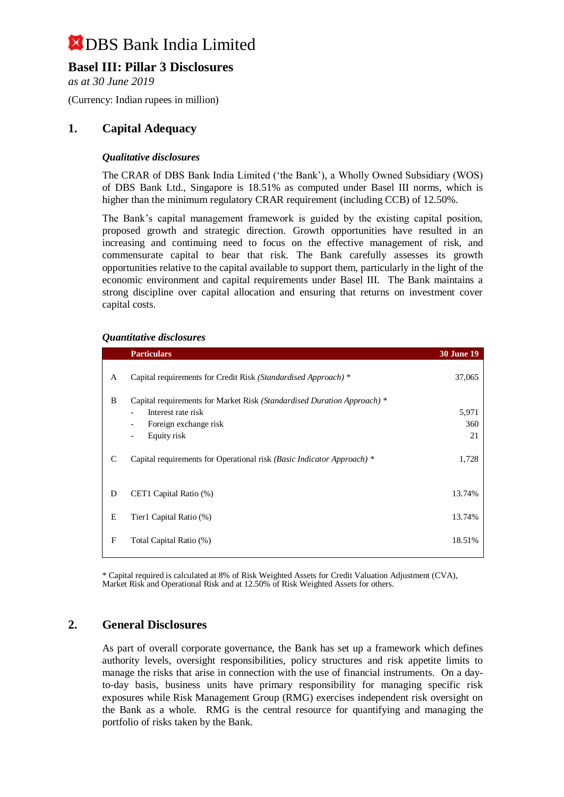## **Basel III: Pillar 3 Disclosures**

*as at 30 June 2019*

(Currency: Indian rupees in million)

## **1. Capital Adequacy**

### *Qualitative disclosures*

The CRAR of DBS Bank India Limited ('the Bank'), a Wholly Owned Subsidiary (WOS) of DBS Bank Ltd., Singapore is 18.51% as computed under Basel III norms, which is higher than the minimum regulatory CRAR requirement (including CCB) of 12.50%.

The Bank's capital management framework is guided by the existing capital position, proposed growth and strategic direction. Growth opportunities have resulted in an increasing and continuing need to focus on the effective management of risk, and commensurate capital to bear that risk. The Bank carefully assesses its growth opportunities relative to the capital available to support them, particularly in the light of the economic environment and capital requirements under Basel III. The Bank maintains a strong discipline over capital allocation and ensuring that returns on investment cover capital costs.

#### *Quantitative disclosures*

|   | <b>Particulars</b>                                                      | <b>30 June 19</b> |
|---|-------------------------------------------------------------------------|-------------------|
| A | Capital requirements for Credit Risk (Standardised Approach) *          | 37,065            |
| B | Capital requirements for Market Risk (Standardised Duration Approach) * |                   |
|   | Interest rate risk                                                      | 5,971             |
|   | Foreign exchange risk<br>$\overline{\phantom{a}}$                       | 360               |
|   | Equity risk<br>$\overline{\phantom{a}}$                                 | 21                |
| C | Capital requirements for Operational risk (Basic Indicator Approach) *  | 1,728             |
| D | CET1 Capital Ratio (%)                                                  | 13.74%            |
| E | Tier1 Capital Ratio (%)                                                 | 13.74%            |
| F | Total Capital Ratio (%)                                                 | 18.51%            |
|   |                                                                         |                   |

\* Capital required is calculated at 8% of Risk Weighted Assets for Credit Valuation Adjustment (CVA), Market Risk and Operational Risk and at 12.50% of Risk Weighted Assets for others.

### **2. General Disclosures**

As part of overall corporate governance, the Bank has set up a framework which defines authority levels, oversight responsibilities, policy structures and risk appetite limits to manage the risks that arise in connection with the use of financial instruments. On a dayto-day basis, business units have primary responsibility for managing specific risk exposures while Risk Management Group (RMG) exercises independent risk oversight on the Bank as a whole. RMG is the central resource for quantifying and managing the portfolio of risks taken by the Bank.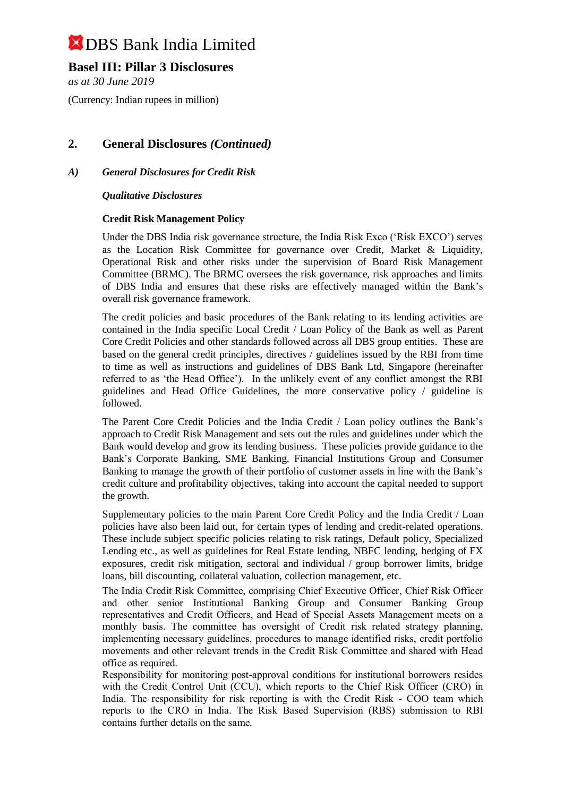## **Basel III: Pillar 3 Disclosures**

*as at 30 June 2019*

(Currency: Indian rupees in million)

## **2. General Disclosures** *(Continued)*

### *A) General Disclosures for Credit Risk*

*Qualitative Disclosures*

#### **Credit Risk Management Policy**

Under the DBS India risk governance structure, the India Risk Exco ('Risk EXCO') serves as the Location Risk Committee for governance over Credit, Market & Liquidity, Operational Risk and other risks under the supervision of Board Risk Management Committee (BRMC). The BRMC oversees the risk governance, risk approaches and limits of DBS India and ensures that these risks are effectively managed within the Bank's overall risk governance framework.

The credit policies and basic procedures of the Bank relating to its lending activities are contained in the India specific Local Credit / Loan Policy of the Bank as well as Parent Core Credit Policies and other standards followed across all DBS group entities. These are based on the general credit principles, directives / guidelines issued by the RBI from time to time as well as instructions and guidelines of DBS Bank Ltd, Singapore (hereinafter referred to as 'the Head Office'). In the unlikely event of any conflict amongst the RBI guidelines and Head Office Guidelines, the more conservative policy / guideline is followed.

The Parent Core Credit Policies and the India Credit / Loan policy outlines the Bank's approach to Credit Risk Management and sets out the rules and guidelines under which the Bank would develop and grow its lending business. These policies provide guidance to the Bank's Corporate Banking, SME Banking, Financial Institutions Group and Consumer Banking to manage the growth of their portfolio of customer assets in line with the Bank's credit culture and profitability objectives, taking into account the capital needed to support the growth.

Supplementary policies to the main Parent Core Credit Policy and the India Credit / Loan policies have also been laid out, for certain types of lending and credit-related operations. These include subject specific policies relating to risk ratings, Default policy, Specialized Lending etc., as well as guidelines for Real Estate lending, NBFC lending, hedging of FX exposures, credit risk mitigation, sectoral and individual / group borrower limits, bridge loans, bill discounting, collateral valuation, collection management, etc.

The India Credit Risk Committee, comprising Chief Executive Officer, Chief Risk Officer and other senior Institutional Banking Group and Consumer Banking Group representatives and Credit Officers, and Head of Special Assets Management meets on a monthly basis. The committee has oversight of Credit risk related strategy planning, implementing necessary guidelines, procedures to manage identified risks, credit portfolio movements and other relevant trends in the Credit Risk Committee and shared with Head office as required.

Responsibility for monitoring post-approval conditions for institutional borrowers resides with the Credit Control Unit (CCU), which reports to the Chief Risk Officer (CRO) in India. The responsibility for risk reporting is with the Credit Risk - COO team which reports to the CRO in India. The Risk Based Supervision (RBS) submission to RBI contains further details on the same.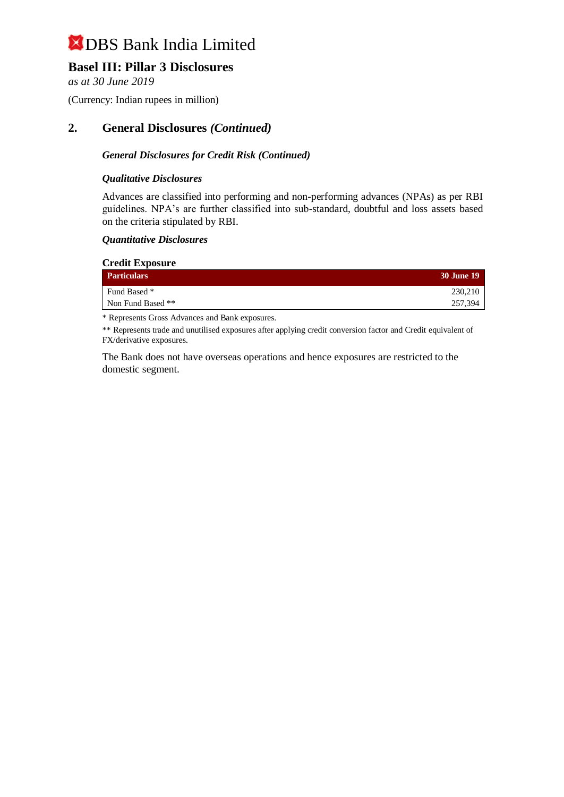## **Basel III: Pillar 3 Disclosures**

*as at 30 June 2019*

(Currency: Indian rupees in million)

## **2. General Disclosures** *(Continued)*

### *General Disclosures for Credit Risk (Continued)*

### *Qualitative Disclosures*

Advances are classified into performing and non-performing advances (NPAs) as per RBI guidelines. NPA's are further classified into sub-standard, doubtful and loss assets based on the criteria stipulated by RBI.

#### *Quantitative Disclosures*

| <b>Credit Exposure</b> |                   |  |
|------------------------|-------------------|--|
| <b>Particulars</b>     | <b>30 June 19</b> |  |
| Fund Based *           | 230,210           |  |
| Non Fund Based **      | 257,394           |  |

\* Represents Gross Advances and Bank exposures.

\*\* Represents trade and unutilised exposures after applying credit conversion factor and Credit equivalent of FX/derivative exposures.

The Bank does not have overseas operations and hence exposures are restricted to the domestic segment.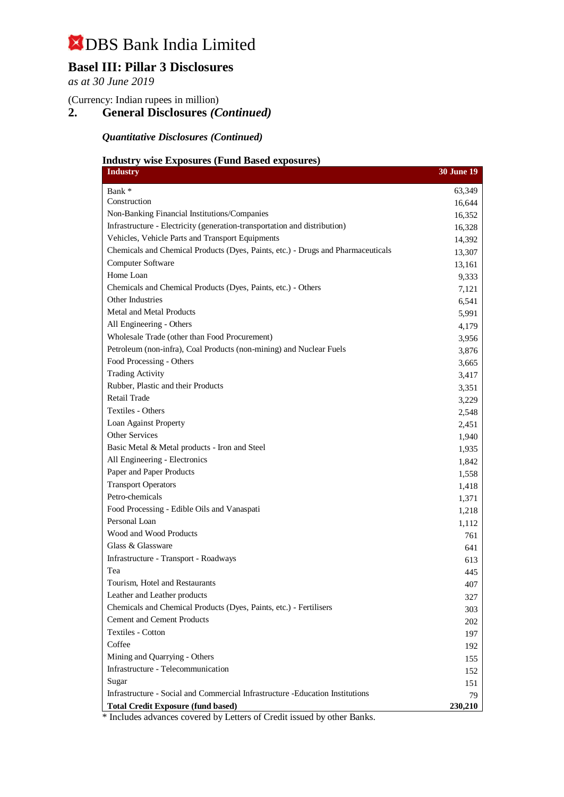# **Basel III: Pillar 3 Disclosures**

*as at 30 June 2019*

(Currency: Indian rupees in million)

## **2. General Disclosures** *(Continued)*

*Quantitative Disclosures (Continued)*

### **Industry wise Exposures (Fund Based exposures)**

| <b>Industry</b>                                                                  | <b>30 June 19</b> |
|----------------------------------------------------------------------------------|-------------------|
| Bank *                                                                           | 63,349            |
| Construction                                                                     | 16,644            |
| Non-Banking Financial Institutions/Companies                                     | 16,352            |
| Infrastructure - Electricity (generation-transportation and distribution)        | 16,328            |
| Vehicles, Vehicle Parts and Transport Equipments                                 | 14,392            |
| Chemicals and Chemical Products (Dyes, Paints, etc.) - Drugs and Pharmaceuticals | 13,307            |
| <b>Computer Software</b>                                                         | 13,161            |
| Home Loan                                                                        | 9,333             |
| Chemicals and Chemical Products (Dyes, Paints, etc.) - Others                    | 7,121             |
| Other Industries                                                                 | 6,541             |
| <b>Metal and Metal Products</b>                                                  | 5,991             |
| All Engineering - Others                                                         | 4,179             |
| Wholesale Trade (other than Food Procurement)                                    | 3,956             |
| Petroleum (non-infra), Coal Products (non-mining) and Nuclear Fuels              | 3,876             |
| Food Processing - Others                                                         | 3,665             |
| <b>Trading Activity</b>                                                          | 3,417             |
| Rubber, Plastic and their Products                                               | 3,351             |
| <b>Retail Trade</b>                                                              | 3,229             |
| Textiles - Others                                                                | 2,548             |
| Loan Against Property                                                            | 2,451             |
| Other Services                                                                   | 1,940             |
| Basic Metal & Metal products - Iron and Steel                                    | 1,935             |
| All Engineering - Electronics                                                    | 1,842             |
| Paper and Paper Products                                                         | 1,558             |
| <b>Transport Operators</b>                                                       | 1,418             |
| Petro-chemicals                                                                  | 1,371             |
| Food Processing - Edible Oils and Vanaspati                                      | 1,218             |
| Personal Loan                                                                    | 1,112             |
| Wood and Wood Products                                                           | 761               |
| Glass & Glassware                                                                | 641               |
| Infrastructure - Transport - Roadways                                            | 613               |
| Tea                                                                              | 445               |
| Tourism, Hotel and Restaurants                                                   | 407               |
| Leather and Leather products                                                     | 327               |
| Chemicals and Chemical Products (Dyes, Paints, etc.) - Fertilisers               | 303               |
| <b>Cement and Cement Products</b>                                                | 202               |
| Textiles - Cotton                                                                | 197               |
| Coffee                                                                           | 192               |
| Mining and Quarrying - Others                                                    | 155               |
| Infrastructure - Telecommunication                                               | 152               |
| Sugar                                                                            | 151               |
| Infrastructure - Social and Commercial Infrastructure - Education Institutions   | 79                |
| <b>Total Credit Exposure (fund based)</b>                                        | 230,210           |

\* Includes advances covered by Letters of Credit issued by other Banks.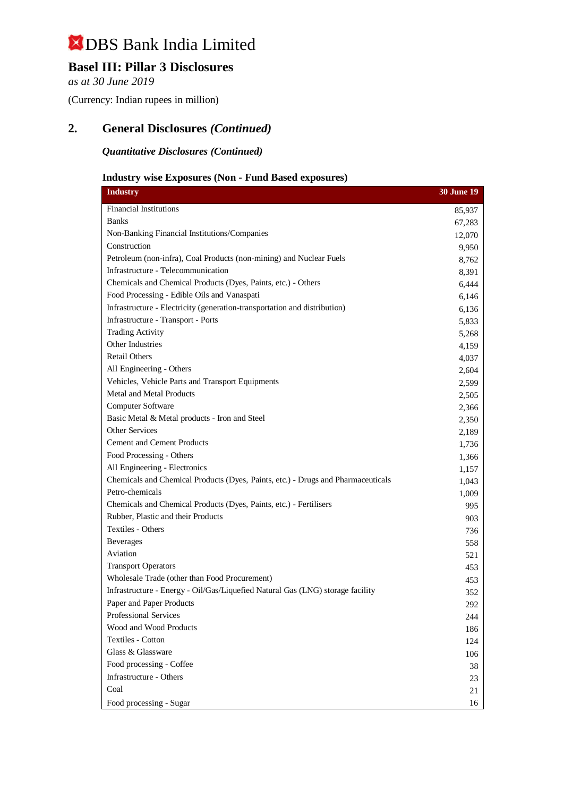## **Basel III: Pillar 3 Disclosures**

*as at 30 June 2019*

(Currency: Indian rupees in million)

## **2. General Disclosures** *(Continued)*

*Quantitative Disclosures (Continued)*

## **Industry wise Exposures (Non - Fund Based exposures)**

| <b>Industry</b>                                                                  | <b>30 June 19</b> |
|----------------------------------------------------------------------------------|-------------------|
| Financial Institutions                                                           | 85,937            |
| <b>Banks</b>                                                                     | 67,283            |
| Non-Banking Financial Institutions/Companies                                     | 12,070            |
| Construction                                                                     | 9,950             |
| Petroleum (non-infra), Coal Products (non-mining) and Nuclear Fuels              | 8,762             |
| Infrastructure - Telecommunication                                               | 8,391             |
| Chemicals and Chemical Products (Dyes, Paints, etc.) - Others                    | 6,444             |
| Food Processing - Edible Oils and Vanaspati                                      | 6,146             |
| Infrastructure - Electricity (generation-transportation and distribution)        | 6,136             |
| Infrastructure - Transport - Ports                                               | 5,833             |
| <b>Trading Activity</b>                                                          | 5,268             |
| Other Industries                                                                 | 4,159             |
| <b>Retail Others</b>                                                             | 4,037             |
| All Engineering - Others                                                         | 2,604             |
| Vehicles, Vehicle Parts and Transport Equipments                                 | 2,599             |
| Metal and Metal Products                                                         | 2,505             |
| Computer Software                                                                | 2,366             |
| Basic Metal & Metal products - Iron and Steel                                    | 2,350             |
| <b>Other Services</b>                                                            | 2,189             |
| <b>Cement and Cement Products</b>                                                | 1,736             |
| Food Processing - Others                                                         | 1,366             |
| All Engineering - Electronics                                                    | 1,157             |
| Chemicals and Chemical Products (Dyes, Paints, etc.) - Drugs and Pharmaceuticals | 1,043             |
| Petro-chemicals                                                                  | 1,009             |
| Chemicals and Chemical Products (Dyes, Paints, etc.) - Fertilisers               | 995               |
| Rubber, Plastic and their Products                                               | 903               |
| Textiles - Others                                                                | 736               |
| <b>Beverages</b>                                                                 | 558               |
| Aviation                                                                         | 521               |
| <b>Transport Operators</b>                                                       | 453               |
| Wholesale Trade (other than Food Procurement)                                    | 453               |
| Infrastructure - Energy - Oil/Gas/Liquefied Natural Gas (LNG) storage facility   | 352               |
| Paper and Paper Products                                                         | 292               |
| Professional Services                                                            | 244               |
| Wood and Wood Products                                                           | 186               |
| <b>Textiles - Cotton</b>                                                         | 124               |
| Glass & Glassware                                                                | 106               |
| Food processing - Coffee                                                         | 38                |
| Infrastructure - Others                                                          | 23                |
| Coal                                                                             | 21                |
| Food processing - Sugar                                                          | 16                |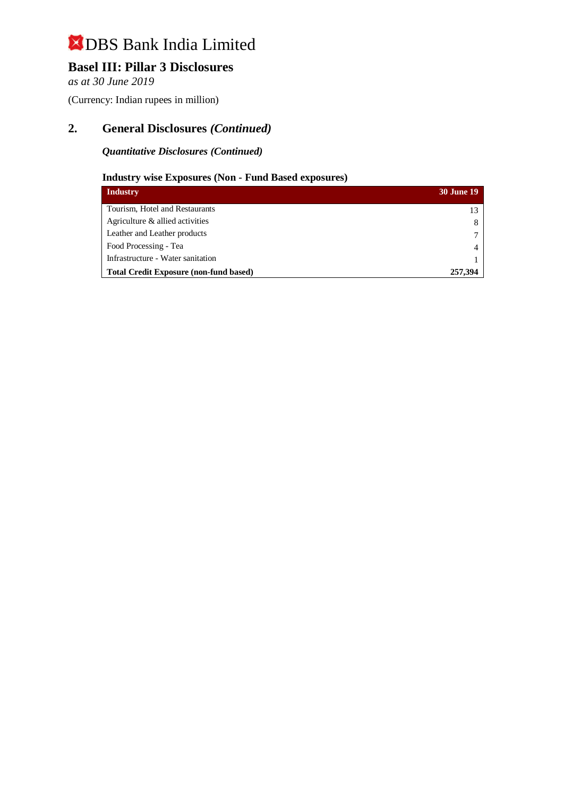## **Basel III: Pillar 3 Disclosures**

*as at 30 June 2019*

(Currency: Indian rupees in million)

## **2. General Disclosures** *(Continued)*

### *Quantitative Disclosures (Continued)*

## **Industry wise Exposures (Non - Fund Based exposures)**

| <b>Industry</b>                               | <b>30 June 19</b> |
|-----------------------------------------------|-------------------|
| Tourism, Hotel and Restaurants                | 13                |
| Agriculture & allied activities               |                   |
| Leather and Leather products                  |                   |
| Food Processing - Tea                         |                   |
| Infrastructure - Water sanitation             |                   |
| <b>Total Credit Exposure (non-fund based)</b> | 257,394           |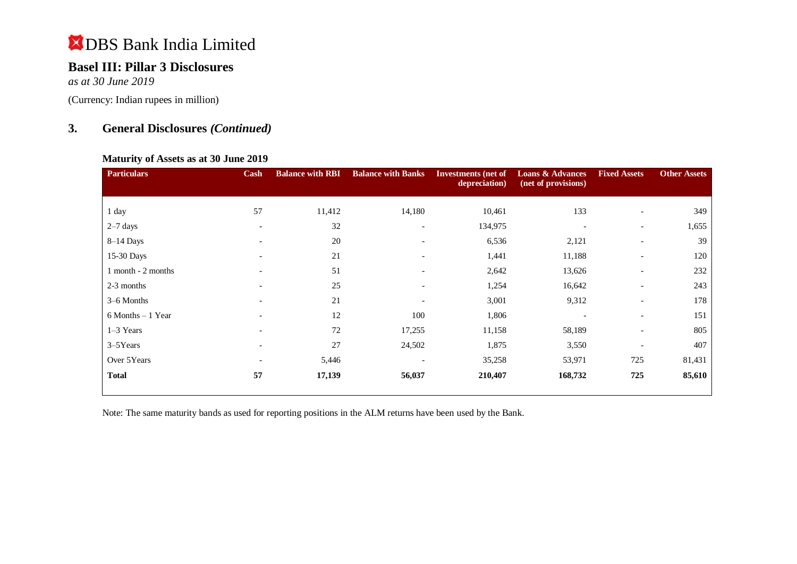## **Basel III: Pillar 3 Disclosures**

*as at 30 June 2019*

(Currency: Indian rupees in million)

## **3. General Disclosures** *(Continued)*

#### **Maturity of Assets as at 30 June 2019**

| <b>Particulars</b>   | Cash                     | <b>Balance with RBI</b> | <b>Balance with Banks</b> | <b>Investments</b> (net of<br>depreciation) | <b>Loans &amp; Advances</b><br>(net of provisions) | <b>Fixed Assets</b>      | <b>Other Assets</b> |
|----------------------|--------------------------|-------------------------|---------------------------|---------------------------------------------|----------------------------------------------------|--------------------------|---------------------|
|                      |                          |                         |                           |                                             |                                                    |                          |                     |
| 1 day                | 57                       | 11,412                  | 14,180                    | 10,461                                      | 133                                                | $\overline{\phantom{0}}$ | 349                 |
| $2-7$ days           | $\overline{\phantom{a}}$ | 32                      | $\overline{\phantom{a}}$  | 134,975                                     | $\overline{\phantom{0}}$                           | $\overline{\phantom{a}}$ | 1,655               |
| $8-14$ Days          | $\overline{\phantom{a}}$ | 20                      | $\overline{\phantom{a}}$  | 6,536                                       | 2,121                                              | $\overline{\phantom{a}}$ | 39                  |
| 15-30 Days           | $\overline{\phantom{a}}$ | 21                      | $\overline{\phantom{a}}$  | 1,441                                       | 11,188                                             | $\overline{\phantom{a}}$ | 120                 |
| 1 month - 2 months   | $\overline{\phantom{a}}$ | 51                      | $\overline{\phantom{a}}$  | 2,642                                       | 13,626                                             | $\overline{\phantom{a}}$ | 232                 |
| 2-3 months           |                          | 25                      | $\overline{\phantom{a}}$  | 1,254                                       | 16,642                                             | $\overline{\phantom{a}}$ | 243                 |
| 3–6 Months           | $\overline{\phantom{a}}$ | 21                      | $\overline{\phantom{a}}$  | 3,001                                       | 9,312                                              | $\overline{\phantom{a}}$ | 178                 |
| $6$ Months $-1$ Year | $\overline{\phantom{0}}$ | 12                      | 100                       | 1,806                                       |                                                    | $\overline{\phantom{a}}$ | 151                 |
| $1-3$ Years          | $\overline{\phantom{0}}$ | 72                      | 17,255                    | 11,158                                      | 58,189                                             | $\overline{\phantom{a}}$ | 805                 |
| $3 - 5$ Years        | $\overline{\phantom{0}}$ | 27                      | 24,502                    | 1,875                                       | 3,550                                              | $\overline{\phantom{a}}$ | 407                 |
| Over 5Years          | $\overline{\phantom{a}}$ | 5,446                   | $\overline{\phantom{0}}$  | 35,258                                      | 53,971                                             | 725                      | 81,431              |
| <b>Total</b>         | 57                       | 17,139                  | 56,037                    | 210,407                                     | 168,732                                            | 725                      | 85,610              |

Note: The same maturity bands as used for reporting positions in the ALM returns have been used by the Bank.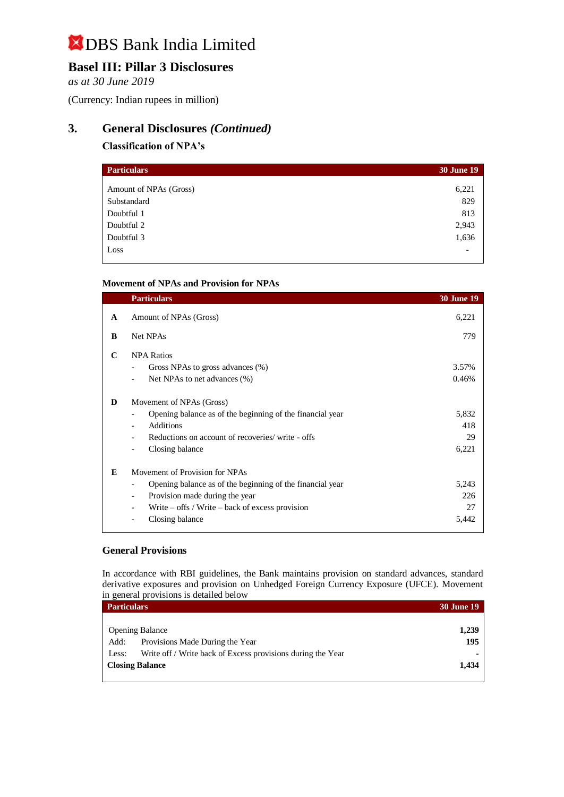# **Basel III: Pillar 3 Disclosures**

*as at 30 June 2019*

(Currency: Indian rupees in million)

## **3. General Disclosures** *(Continued)*

### **Classification of NPA's**

| <b>Particulars</b>     | <b>30 June 19</b>        |
|------------------------|--------------------------|
| Amount of NPAs (Gross) | 6,221                    |
| Substandard            | 829                      |
| Doubtful 1             | 813                      |
| Doubtful 2             | 2,943                    |
| Doubtful 3             | 1,636                    |
| Loss                   | $\overline{\phantom{a}}$ |

#### **Movement of NPAs and Provision for NPAs**

|   | <b>Particulars</b>                                                                                                                                                                                                                                              | <b>30 June 19</b>           |
|---|-----------------------------------------------------------------------------------------------------------------------------------------------------------------------------------------------------------------------------------------------------------------|-----------------------------|
| A | Amount of NPAs (Gross)                                                                                                                                                                                                                                          | 6,221                       |
| B | Net NPAs                                                                                                                                                                                                                                                        | 779                         |
| C | <b>NPA Ratios</b><br>Gross NPAs to gross advances (%)<br>Net NPAs to net advances (%)<br>$\overline{\phantom{a}}$                                                                                                                                               | 3.57%<br>0.46%              |
| D | Movement of NPAs (Gross)<br>Opening balance as of the beginning of the financial year<br>$\overline{\phantom{a}}$<br>Additions<br>$\overline{\phantom{0}}$<br>Reductions on account of recoveries/ write - offs<br>Closing balance<br>$\overline{\phantom{a}}$  | 5,832<br>418<br>29<br>6,221 |
| E | Movement of Provision for NPAs<br>Opening balance as of the beginning of the financial year<br>$\overline{\phantom{a}}$<br>Provision made during the year<br>$\overline{\phantom{a}}$<br>Write $-$ offs / Write $-$ back of excess provision<br>Closing balance | 5,243<br>226<br>27<br>5,442 |

#### **General Provisions**

In accordance with RBI guidelines, the Bank maintains provision on standard advances, standard derivative exposures and provision on Unhedged Foreign Currency Exposure (UFCE). Movement in general provisions is detailed below

| <b>Particulars</b>                                                   | <b>30 June 19</b> |
|----------------------------------------------------------------------|-------------------|
|                                                                      |                   |
| <b>Opening Balance</b>                                               | 1,239             |
| Provisions Made During the Year<br>Add:                              | 195               |
| Write off / Write back of Excess provisions during the Year<br>Less: | $\blacksquare$    |
| <b>Closing Balance</b>                                               | 1,434             |
|                                                                      |                   |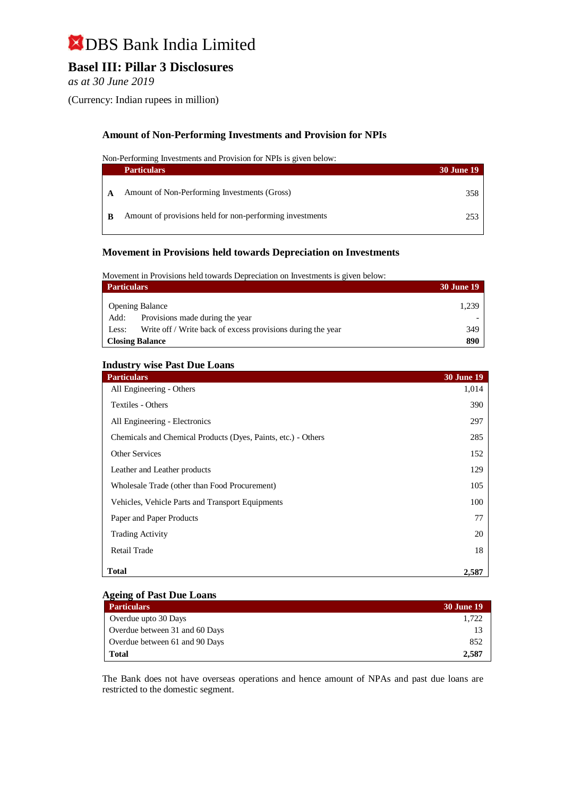# **Basel III: Pillar 3 Disclosures**

*as at 30 June 2019*

(Currency: Indian rupees in million)

### **Amount of Non-Performing Investments and Provision for NPIs**

Non-Performing Investments and Provision for NPIs is given below:

|   | <b>Particulars</b>                                       | <b>30 June 19</b> |
|---|----------------------------------------------------------|-------------------|
| A | Amount of Non-Performing Investments (Gross)             | 358               |
| B | Amount of provisions held for non-performing investments | 253               |

#### **Movement in Provisions held towards Depreciation on Investments**

Movement in Provisions held towards Depreciation on Investments is given below:

| <b>Particulars</b>                                                   | <b>30 June 19</b> |
|----------------------------------------------------------------------|-------------------|
| <b>Opening Balance</b>                                               | 1.239             |
| Provisions made during the year<br>Add:                              |                   |
| Write off / Write back of excess provisions during the year<br>Less: | 349               |
| <b>Closing Balance</b>                                               | 890               |

#### **Industry wise Past Due Loans**

| <b>Particulars</b>                                            | <b>30 June 19</b> |
|---------------------------------------------------------------|-------------------|
| All Engineering - Others                                      | 1,014             |
| Textiles - Others                                             | 390               |
| All Engineering - Electronics                                 | 297               |
| Chemicals and Chemical Products (Dyes, Paints, etc.) - Others | 285               |
| <b>Other Services</b>                                         | 152               |
| Leather and Leather products                                  | 129               |
| Wholesale Trade (other than Food Procurement)                 | 105               |
| Vehicles, Vehicle Parts and Transport Equipments              | 100               |
| Paper and Paper Products                                      | 77                |
| <b>Trading Activity</b>                                       | 20                |
| Retail Trade                                                  | 18                |
| <b>Total</b>                                                  | 2,587             |

#### **Ageing of Past Due Loans**

| <b>Particulars</b>             | 30 June 19 |
|--------------------------------|------------|
| Overdue upto 30 Days           | 1.722      |
| Overdue between 31 and 60 Days | 13         |
| Overdue between 61 and 90 Days | 852        |
| Total                          | 2,587      |

The Bank does not have overseas operations and hence amount of NPAs and past due loans are restricted to the domestic segment.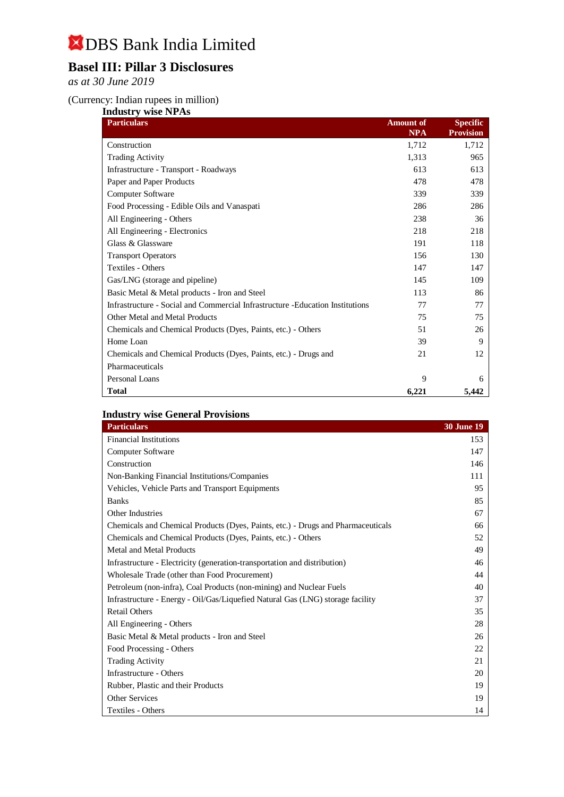# **Basel III: Pillar 3 Disclosures**

*as at 30 June 2019*

#### (Currency: Indian rupees in million)

| <b>Industry wise NPAs</b>                                                     |                  |                  |  |
|-------------------------------------------------------------------------------|------------------|------------------|--|
| <b>Particulars</b>                                                            | <b>Amount</b> of | Specific         |  |
|                                                                               | <b>NPA</b>       | <b>Provision</b> |  |
| Construction                                                                  | 1,712            | 1,712            |  |
| <b>Trading Activity</b>                                                       | 1,313            | 965              |  |
| Infrastructure - Transport - Roadways                                         | 613              | 613              |  |
| Paper and Paper Products                                                      | 478              | 478              |  |
| Computer Software                                                             | 339              | 339              |  |
| Food Processing - Edible Oils and Vanaspati                                   | 286              | 286              |  |
| All Engineering - Others                                                      | 238              | 36               |  |
| All Engineering - Electronics                                                 | 218              | 218              |  |
| Glass & Glassware                                                             | 191              | 118              |  |
| <b>Transport Operators</b>                                                    | 156              | 130              |  |
| Textiles - Others                                                             | 147              | 147              |  |
| Gas/LNG (storage and pipeline)                                                | 145              | 109              |  |
| Basic Metal & Metal products - Iron and Steel                                 | 113              | 86               |  |
| Infrastructure - Social and Commercial Infrastructure -Education Institutions | 77               | 77               |  |
| Other Metal and Metal Products                                                | 75               | 75               |  |
| Chemicals and Chemical Products (Dyes, Paints, etc.) - Others                 | 51               | 26               |  |
| Home Loan                                                                     | 39               | 9                |  |
| Chemicals and Chemical Products (Dyes, Paints, etc.) - Drugs and              | 21               | 12               |  |
| Pharmaceuticals                                                               |                  |                  |  |
| <b>Personal Loans</b>                                                         | 9                | 6                |  |
| <b>Total</b>                                                                  | 6,221            | 5,442            |  |

## **Industry wise General Provisions**

| <b>Particulars</b>                                                               | <b>30 June 19</b> |
|----------------------------------------------------------------------------------|-------------------|
| <b>Financial Institutions</b>                                                    | 153               |
| <b>Computer Software</b>                                                         | 147               |
| Construction                                                                     | 146               |
| Non-Banking Financial Institutions/Companies                                     | 111               |
| Vehicles, Vehicle Parts and Transport Equipments                                 | 95                |
| <b>Banks</b>                                                                     | 85                |
| Other Industries                                                                 | 67                |
| Chemicals and Chemical Products (Dyes, Paints, etc.) - Drugs and Pharmaceuticals | 66                |
| Chemicals and Chemical Products (Dyes, Paints, etc.) - Others                    | 52                |
| Metal and Metal Products                                                         | 49                |
| Infrastructure - Electricity (generation-transportation and distribution)        | 46                |
| Wholesale Trade (other than Food Procurement)                                    | 44                |
| Petroleum (non-infra), Coal Products (non-mining) and Nuclear Fuels              | 40                |
| Infrastructure - Energy - Oil/Gas/Liquefied Natural Gas (LNG) storage facility   | 37                |
| <b>Retail Others</b>                                                             | 35                |
| All Engineering - Others                                                         | 28                |
| Basic Metal & Metal products - Iron and Steel                                    | 26                |
| Food Processing - Others                                                         | 22                |
| <b>Trading Activity</b>                                                          | 21                |
| Infrastructure - Others                                                          | 20                |
| Rubber, Plastic and their Products                                               | 19                |
| <b>Other Services</b>                                                            | 19                |
| Textiles - Others                                                                | 14                |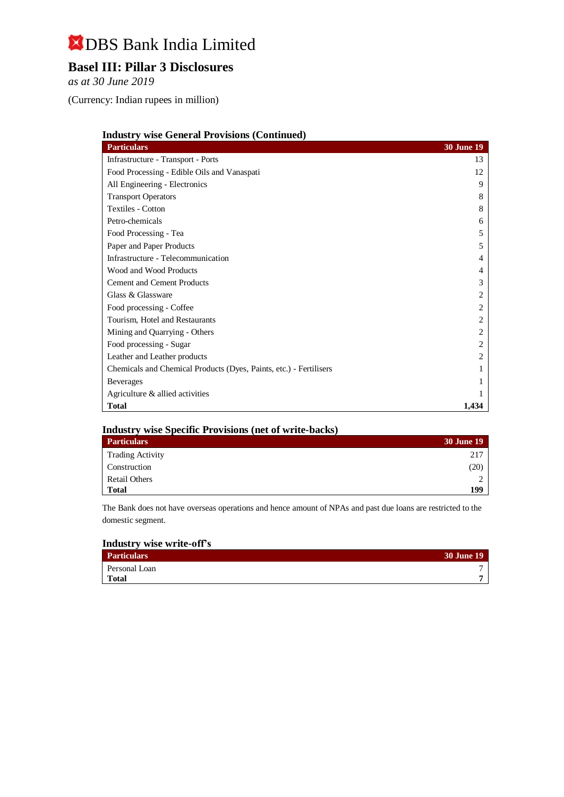# **Basel III: Pillar 3 Disclosures**

*as at 30 June 2019*

(Currency: Indian rupees in million)

|  |  | <b>Industry wise General Provisions (Continued)</b> |
|--|--|-----------------------------------------------------|
|  |  |                                                     |

| <b>Particulars</b>                                                 | <b>30 June 19</b>     |
|--------------------------------------------------------------------|-----------------------|
| Infrastructure - Transport - Ports                                 | 13                    |
| Food Processing - Edible Oils and Vanaspati                        | 12                    |
| All Engineering - Electronics                                      | 9                     |
| <b>Transport Operators</b>                                         | 8                     |
| <b>Textiles - Cotton</b>                                           | 8                     |
| Petro-chemicals                                                    | 6                     |
| Food Processing - Tea                                              | 5                     |
| Paper and Paper Products                                           | 5                     |
| Infrastructure - Telecommunication                                 | 4                     |
| Wood and Wood Products                                             | 4                     |
| <b>Cement and Cement Products</b>                                  | 3                     |
| Glass & Glassware                                                  | $\overline{c}$        |
| Food processing - Coffee                                           | 2                     |
| Tourism, Hotel and Restaurants                                     | 2                     |
| Mining and Quarrying - Others                                      | $\overline{c}$        |
| Food processing - Sugar                                            | 2                     |
| Leather and Leather products                                       | $\mathcal{D}_{\cdot}$ |
| Chemicals and Chemical Products (Dyes, Paints, etc.) - Fertilisers |                       |
| <b>Beverages</b>                                                   |                       |
| Agriculture & allied activities                                    |                       |
| <b>Total</b>                                                       | 1,434                 |

#### **Industry wise Specific Provisions (net of write-backs)**

| <b>Particulars</b>      | <b>30 June 19</b> |
|-------------------------|-------------------|
| <b>Trading Activity</b> | 217               |
| Construction            | (20)              |
| <b>Retail Others</b>    |                   |
| <b>Total</b>            | 199               |

The Bank does not have overseas operations and hence amount of NPAs and past due loans are restricted to the domestic segment.

### **Industry wise write-off's**

| <b>Particulars</b> | <b>30 June 19</b> |
|--------------------|-------------------|
| Personal Loan      |                   |
| <b>Total</b>       |                   |